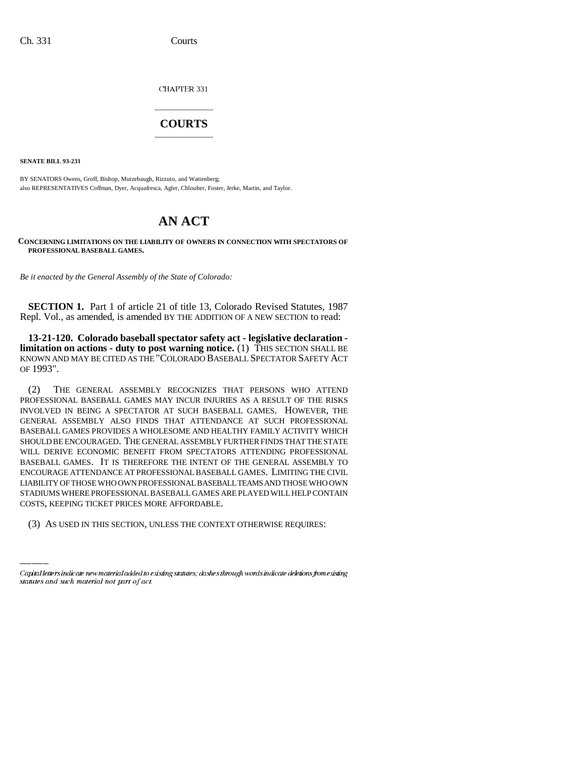CHAPTER 331

## \_\_\_\_\_\_\_\_\_\_\_\_\_\_\_ **COURTS** \_\_\_\_\_\_\_\_\_\_\_\_\_\_\_

**SENATE BILL 93-231**

BY SENATORS Owens, Groff, Bishop, Mutzebaugh, Rizzuto, and Wattenberg; also REPRESENTATIVES Coffman, Dyer, Acquafresca, Agler, Chlouber, Foster, Jerke, Martin, and Taylor.

# **AN ACT**

**CONCERNING LIMITATIONS ON THE LIABILITY OF OWNERS IN CONNECTION WITH SPECTATORS OF PROFESSIONAL BASEBALL GAMES.**

*Be it enacted by the General Assembly of the State of Colorado:* 

**SECTION 1.** Part 1 of article 21 of title 13, Colorado Revised Statutes, 1987 Repl. Vol., as amended, is amended BY THE ADDITION OF A NEW SECTION to read:

**13-21-120. Colorado baseball spectator safety act - legislative declaration limitation on actions - duty to post warning notice.** (1) THIS SECTION SHALL BE KNOWN AND MAY BE CITED AS THE "COLORADO BASEBALL SPECTATOR SAFETY ACT OF 1993".

STADIUMS WHERE PROFESSIONAL BASEBALL GAMES ARE PLAYED WILL HELP CONTAIN (2) THE GENERAL ASSEMBLY RECOGNIZES THAT PERSONS WHO ATTEND PROFESSIONAL BASEBALL GAMES MAY INCUR INJURIES AS A RESULT OF THE RISKS INVOLVED IN BEING A SPECTATOR AT SUCH BASEBALL GAMES. HOWEVER, THE GENERAL ASSEMBLY ALSO FINDS THAT ATTENDANCE AT SUCH PROFESSIONAL BASEBALL GAMES PROVIDES A WHOLESOME AND HEALTHY FAMILY ACTIVITY WHICH SHOULD BE ENCOURAGED. THE GENERAL ASSEMBLY FURTHER FINDS THAT THE STATE WILL DERIVE ECONOMIC BENEFIT FROM SPECTATORS ATTENDING PROFESSIONAL BASEBALL GAMES. IT IS THEREFORE THE INTENT OF THE GENERAL ASSEMBLY TO ENCOURAGE ATTENDANCE AT PROFESSIONAL BASEBALL GAMES. LIMITING THE CIVIL LIABILITY OF THOSE WHO OWN PROFESSIONAL BASEBALL TEAMS AND THOSE WHO OWN COSTS, KEEPING TICKET PRICES MORE AFFORDABLE.

(3) AS USED IN THIS SECTION, UNLESS THE CONTEXT OTHERWISE REQUIRES:

Capital letters indicate new material added to existing statutes; dashes through words indicate deletions from existing statutes and such material not part of act.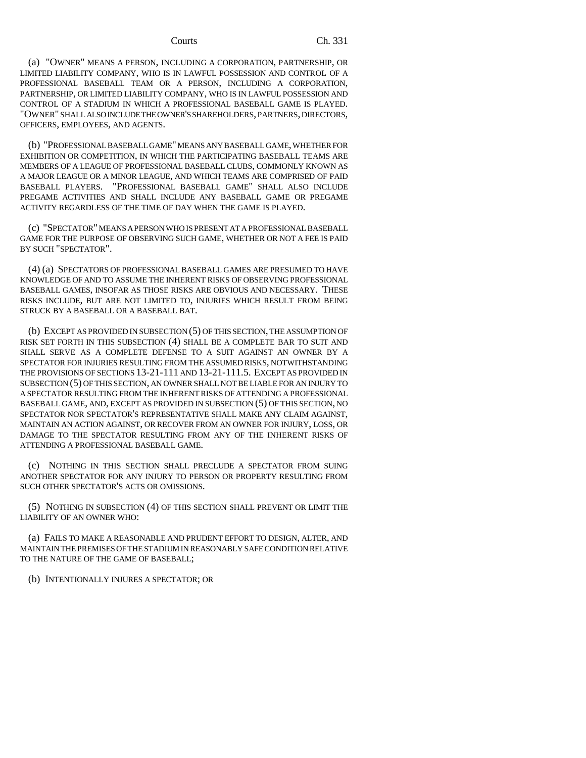(a) "OWNER" MEANS A PERSON, INCLUDING A CORPORATION, PARTNERSHIP, OR LIMITED LIABILITY COMPANY, WHO IS IN LAWFUL POSSESSION AND CONTROL OF A PROFESSIONAL BASEBALL TEAM OR A PERSON, INCLUDING A CORPORATION, PARTNERSHIP, OR LIMITED LIABILITY COMPANY, WHO IS IN LAWFUL POSSESSION AND CONTROL OF A STADIUM IN WHICH A PROFESSIONAL BASEBALL GAME IS PLAYED. "OWNER" SHALL ALSO INCLUDE THE OWNER'S SHAREHOLDERS, PARTNERS, DIRECTORS, OFFICERS, EMPLOYEES, AND AGENTS.

(b) "PROFESSIONAL BASEBALL GAME" MEANS ANY BASEBALL GAME, WHETHER FOR EXHIBITION OR COMPETITION, IN WHICH THE PARTICIPATING BASEBALL TEAMS ARE MEMBERS OF A LEAGUE OF PROFESSIONAL BASEBALL CLUBS, COMMONLY KNOWN AS A MAJOR LEAGUE OR A MINOR LEAGUE, AND WHICH TEAMS ARE COMPRISED OF PAID BASEBALL PLAYERS. "PROFESSIONAL BASEBALL GAME" SHALL ALSO INCLUDE PREGAME ACTIVITIES AND SHALL INCLUDE ANY BASEBALL GAME OR PREGAME ACTIVITY REGARDLESS OF THE TIME OF DAY WHEN THE GAME IS PLAYED.

(c) "SPECTATOR" MEANS A PERSON WHO IS PRESENT AT A PROFESSIONAL BASEBALL GAME FOR THE PURPOSE OF OBSERVING SUCH GAME, WHETHER OR NOT A FEE IS PAID BY SUCH "SPECTATOR".

(4) (a) SPECTATORS OF PROFESSIONAL BASEBALL GAMES ARE PRESUMED TO HAVE KNOWLEDGE OF AND TO ASSUME THE INHERENT RISKS OF OBSERVING PROFESSIONAL BASEBALL GAMES, INSOFAR AS THOSE RISKS ARE OBVIOUS AND NECESSARY. THESE RISKS INCLUDE, BUT ARE NOT LIMITED TO, INJURIES WHICH RESULT FROM BEING STRUCK BY A BASEBALL OR A BASEBALL BAT.

(b) EXCEPT AS PROVIDED IN SUBSECTION (5) OF THIS SECTION, THE ASSUMPTION OF RISK SET FORTH IN THIS SUBSECTION (4) SHALL BE A COMPLETE BAR TO SUIT AND SHALL SERVE AS A COMPLETE DEFENSE TO A SUIT AGAINST AN OWNER BY A SPECTATOR FOR INJURIES RESULTING FROM THE ASSUMED RISKS, NOTWITHSTANDING THE PROVISIONS OF SECTIONS 13-21-111 AND 13-21-111.5. EXCEPT AS PROVIDED IN SUBSECTION (5) OF THIS SECTION, AN OWNER SHALL NOT BE LIABLE FOR AN INJURY TO A SPECTATOR RESULTING FROM THE INHERENT RISKS OF ATTENDING A PROFESSIONAL BASEBALL GAME, AND, EXCEPT AS PROVIDED IN SUBSECTION (5) OF THIS SECTION, NO SPECTATOR NOR SPECTATOR'S REPRESENTATIVE SHALL MAKE ANY CLAIM AGAINST, MAINTAIN AN ACTION AGAINST, OR RECOVER FROM AN OWNER FOR INJURY, LOSS, OR DAMAGE TO THE SPECTATOR RESULTING FROM ANY OF THE INHERENT RISKS OF ATTENDING A PROFESSIONAL BASEBALL GAME.

(c) NOTHING IN THIS SECTION SHALL PRECLUDE A SPECTATOR FROM SUING ANOTHER SPECTATOR FOR ANY INJURY TO PERSON OR PROPERTY RESULTING FROM SUCH OTHER SPECTATOR'S ACTS OR OMISSIONS.

(5) NOTHING IN SUBSECTION (4) OF THIS SECTION SHALL PREVENT OR LIMIT THE LIABILITY OF AN OWNER WHO:

(a) FAILS TO MAKE A REASONABLE AND PRUDENT EFFORT TO DESIGN, ALTER, AND MAINTAIN THE PREMISES OF THE STADIUM IN REASONABLY SAFE CONDITION RELATIVE TO THE NATURE OF THE GAME OF BASEBALL;

(b) INTENTIONALLY INJURES A SPECTATOR; OR